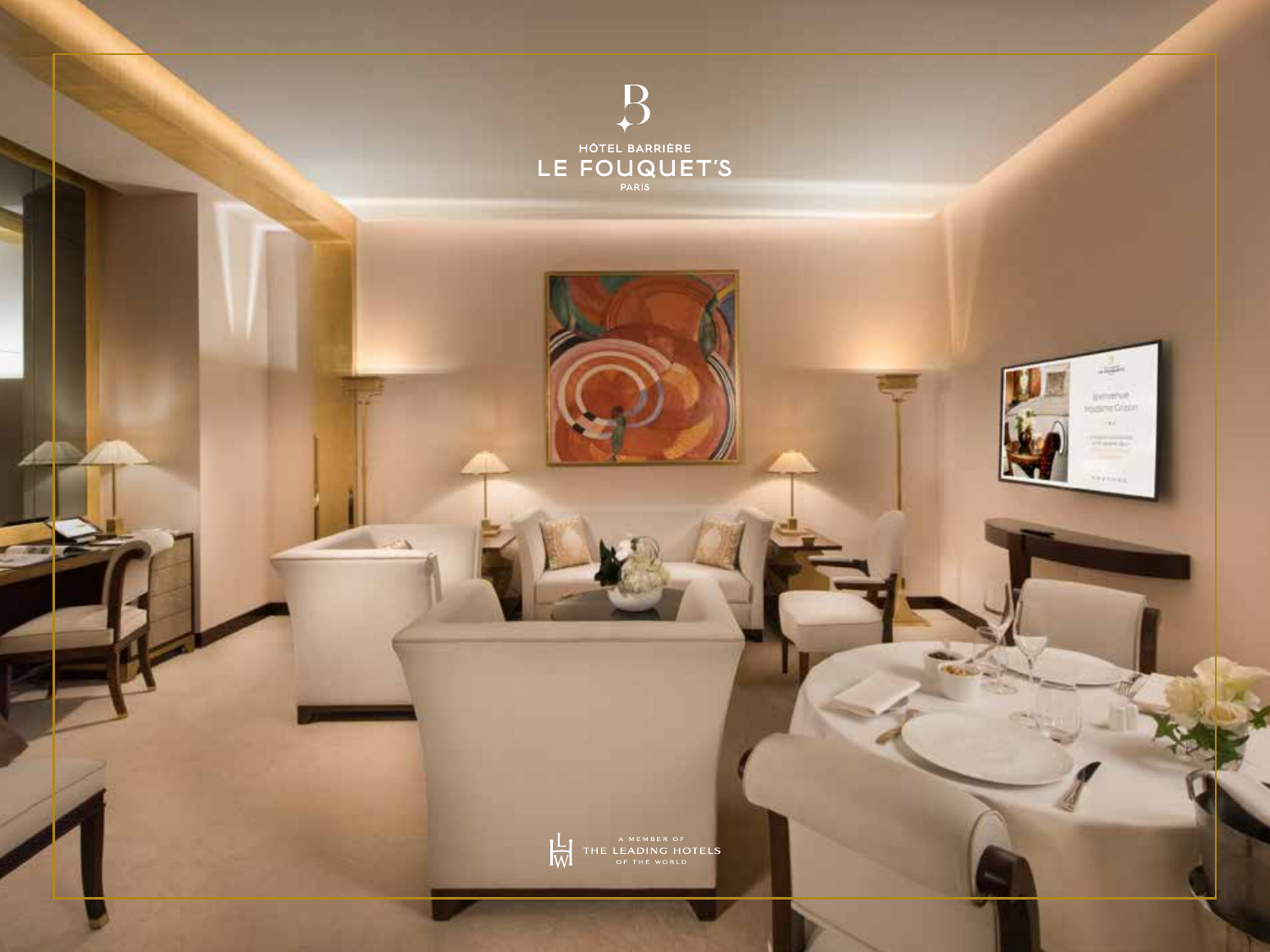